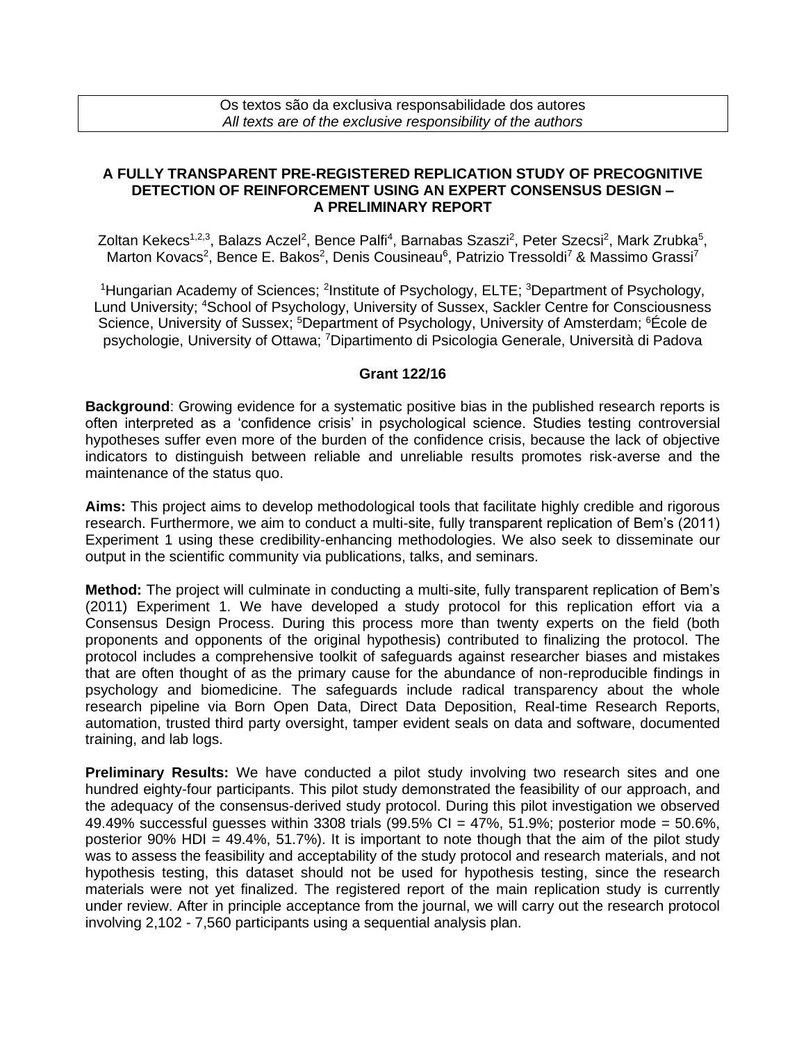## **A FULLY TRANSPARENT PRE-REGISTERED REPLICATION STUDY OF PRECOGNITIVE DETECTION OF REINFORCEMENT USING AN EXPERT CONSENSUS DESIGN – A PRELIMINARY REPORT**

Zoltan Kekecs<sup>1,2,3</sup>, Balazs Aczel<sup>2</sup>, Bence Palfi<sup>4</sup>, Barnabas Szaszi<sup>2</sup>, Peter Szecsi<sup>2</sup>, Mark Zrubka<sup>5</sup>, Marton Kovacs<sup>2</sup>, Bence E. Bakos<sup>2</sup>, Denis Cousineau<sup>6</sup>, Patrizio Tressoldi<sup>7</sup> & Massimo Grassi<sup>7</sup>

<sup>1</sup>Hungarian Academy of Sciences; <sup>2</sup>Institute of Psychology, ELTE; <sup>3</sup>Department of Psychology, Lund University; <sup>4</sup>School of Psychology, University of Sussex, Sackler Centre for Consciousness Science, University of Sussex; <sup>5</sup>Department of Psychology, University of Amsterdam; <sup>6</sup>École de psychologie, University of Ottawa; <sup>7</sup>Dipartimento di Psicologia Generale, Università di Padova

## **Grant 122/16**

**Background**: Growing evidence for a systematic positive bias in the published research reports is often interpreted as a 'confidence crisis' in psychological science. Studies testing controversial hypotheses suffer even more of the burden of the confidence crisis, because the lack of objective indicators to distinguish between reliable and unreliable results promotes risk-averse and the maintenance of the status quo.

**Aims:** This project aims to develop methodological tools that facilitate highly credible and rigorous research. Furthermore, we aim to conduct a multi-site, fully transparent replication of Bem's (2011) Experiment 1 using these credibility-enhancing methodologies. We also seek to disseminate our output in the scientific community via publications, talks, and seminars.

**Method:** The project will culminate in conducting a multi-site, fully transparent replication of Bem's (2011) Experiment 1. We have developed a study protocol for this replication effort via a Consensus Design Process. During this process more than twenty experts on the field (both proponents and opponents of the original hypothesis) contributed to finalizing the protocol. The protocol includes a comprehensive toolkit of safeguards against researcher biases and mistakes that are often thought of as the primary cause for the abundance of non-reproducible findings in psychology and biomedicine. The safeguards include radical transparency about the whole research pipeline via Born Open Data, Direct Data Deposition, Real-time Research Reports, automation, trusted third party oversight, tamper evident seals on data and software, documented training, and lab logs.

**Preliminary Results:** We have conducted a pilot study involving two research sites and one hundred eighty-four participants. This pilot study demonstrated the feasibility of our approach, and the adequacy of the consensus-derived study protocol. During this pilot investigation we observed 49.49% successful guesses within 3308 trials (99.5% CI =  $47\%$ , 51.9%; posterior mode = 50.6%, posterior 90% HDI = 49.4%, 51.7%). It is important to note though that the aim of the pilot study was to assess the feasibility and acceptability of the study protocol and research materials, and not hypothesis testing, this dataset should not be used for hypothesis testing, since the research materials were not yet finalized. The registered report of the main replication study is currently under review. After in principle acceptance from the journal, we will carry out the research protocol involving 2,102 - 7,560 participants using a sequential analysis plan.